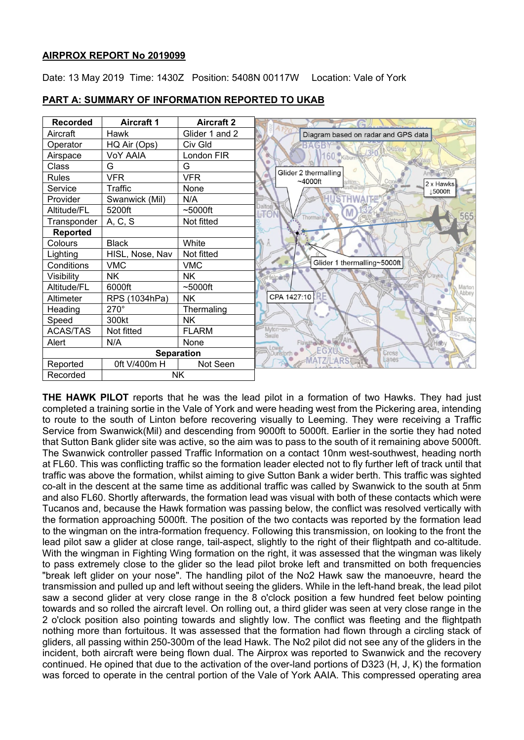## **AIRPROX REPORT No 2019099**

Date: 13 May 2019 Time: 1430Z Position: 5408N 00117W Location: Vale of York



## **PART A: SUMMARY OF INFORMATION REPORTED TO UKAB**

**THE HAWK PILOT** reports that he was the lead pilot in a formation of two Hawks. They had just completed a training sortie in the Vale of York and were heading west from the Pickering area, intending to route to the south of Linton before recovering visually to Leeming. They were receiving a Traffic Service from Swanwick(Mil) and descending from 9000ft to 5000ft. Earlier in the sortie they had noted that Sutton Bank glider site was active, so the aim was to pass to the south of it remaining above 5000ft. The Swanwick controller passed Traffic Information on a contact 10nm west-southwest, heading north at FL60. This was conflicting traffic so the formation leader elected not to fly further left of track until that traffic was above the formation, whilst aiming to give Sutton Bank a wider berth. This traffic was sighted co-alt in the descent at the same time as additional traffic was called by Swanwick to the south at 5nm and also FL60. Shortly afterwards, the formation lead was visual with both of these contacts which were Tucanos and, because the Hawk formation was passing below, the conflict was resolved vertically with the formation approaching 5000ft. The position of the two contacts was reported by the formation lead to the wingman on the intra-formation frequency. Following this transmission, on looking to the front the lead pilot saw a glider at close range, tail-aspect, slightly to the right of their flightpath and co-altitude. With the wingman in Fighting Wing formation on the right, it was assessed that the wingman was likely to pass extremely close to the glider so the lead pilot broke left and transmitted on both frequencies "break left glider on your nose". The handling pilot of the No2 Hawk saw the manoeuvre, heard the transmission and pulled up and left without seeing the gliders. While in the left-hand break, the lead pilot saw a second glider at very close range in the 8 o'clock position a few hundred feet below pointing towards and so rolled the aircraft level. On rolling out, a third glider was seen at very close range in the 2 o'clock position also pointing towards and slightly low. The conflict was fleeting and the flightpath nothing more than fortuitous. It was assessed that the formation had flown through a circling stack of gliders, all passing within 250-300m of the lead Hawk. The No2 pilot did not see any of the gliders in the incident, both aircraft were being flown dual. The Airprox was reported to Swanwick and the recovery continued. He opined that due to the activation of the over-land portions of D323 (H, J, K) the formation was forced to operate in the central portion of the Vale of York AAIA. This compressed operating area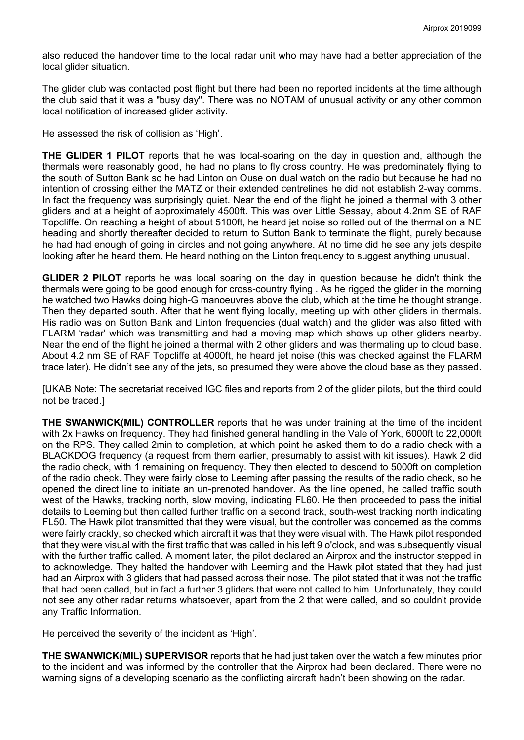also reduced the handover time to the local radar unit who may have had a better appreciation of the local glider situation.

The glider club was contacted post flight but there had been no reported incidents at the time although the club said that it was a "busy day". There was no NOTAM of unusual activity or any other common local notification of increased glider activity.

He assessed the risk of collision as 'High'.

**THE GLIDER 1 PILOT** reports that he was local-soaring on the day in question and, although the thermals were reasonably good, he had no plans to fly cross country. He was predominately flying to the south of Sutton Bank so he had Linton on Ouse on dual watch on the radio but because he had no intention of crossing either the MATZ or their extended centrelines he did not establish 2-way comms. In fact the frequency was surprisingly quiet. Near the end of the flight he joined a thermal with 3 other gliders and at a height of approximately 4500ft. This was over Little Sessay, about 4.2nm SE of RAF Topcliffe. On reaching a height of about 5100ft, he heard jet noise so rolled out of the thermal on a NE heading and shortly thereafter decided to return to Sutton Bank to terminate the flight, purely because he had had enough of going in circles and not going anywhere. At no time did he see any jets despite looking after he heard them. He heard nothing on the Linton frequency to suggest anything unusual.

**GLIDER 2 PILOT** reports he was local soaring on the day in question because he didn't think the thermals were going to be good enough for cross-country flying . As he rigged the glider in the morning he watched two Hawks doing high-G manoeuvres above the club, which at the time he thought strange. Then they departed south. After that he went flying locally, meeting up with other gliders in thermals. His radio was on Sutton Bank and Linton frequencies (dual watch) and the glider was also fitted with FLARM 'radar' which was transmitting and had a moving map which shows up other gliders nearby. Near the end of the flight he joined a thermal with 2 other gliders and was thermaling up to cloud base. About 4.2 nm SE of RAF Topcliffe at 4000ft, he heard jet noise (this was checked against the FLARM trace later). He didn't see any of the jets, so presumed they were above the cloud base as they passed.

[UKAB Note: The secretariat received IGC files and reports from 2 of the glider pilots, but the third could not be traced.]

**THE SWANWICK(MIL) CONTROLLER** reports that he was under training at the time of the incident with 2x Hawks on frequency. They had finished general handling in the Vale of York, 6000ft to 22,000ft on the RPS. They called 2min to completion, at which point he asked them to do a radio check with a BLACKDOG frequency (a request from them earlier, presumably to assist with kit issues). Hawk 2 did the radio check, with 1 remaining on frequency. They then elected to descend to 5000ft on completion of the radio check. They were fairly close to Leeming after passing the results of the radio check, so he opened the direct line to initiate an un-prenoted handover. As the line opened, he called traffic south west of the Hawks, tracking north, slow moving, indicating FL60. He then proceeded to pass the initial details to Leeming but then called further traffic on a second track, south-west tracking north indicating FL50. The Hawk pilot transmitted that they were visual, but the controller was concerned as the comms were fairly crackly, so checked which aircraft it was that they were visual with. The Hawk pilot responded that they were visual with the first traffic that was called in his left 9 o'clock, and was subsequently visual with the further traffic called. A moment later, the pilot declared an Airprox and the instructor stepped in to acknowledge. They halted the handover with Leeming and the Hawk pilot stated that they had just had an Airprox with 3 gliders that had passed across their nose. The pilot stated that it was not the traffic that had been called, but in fact a further 3 gliders that were not called to him. Unfortunately, they could not see any other radar returns whatsoever, apart from the 2 that were called, and so couldn't provide any Traffic Information.

He perceived the severity of the incident as 'High'.

**THE SWANWICK(MIL) SUPERVISOR** reports that he had just taken over the watch a few minutes prior to the incident and was informed by the controller that the Airprox had been declared. There were no warning signs of a developing scenario as the conflicting aircraft hadn't been showing on the radar.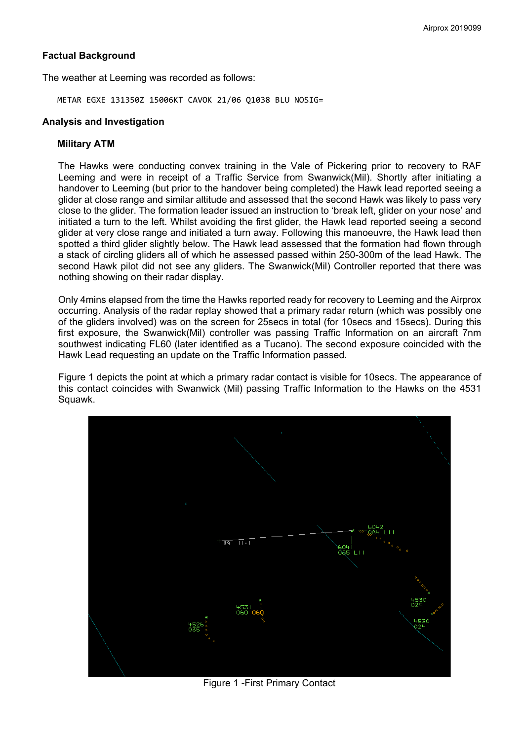## **Factual Background**

The weather at Leeming was recorded as follows:

METAR EGXE 131350Z 15006KT CAVOK 21/06 Q1038 BLU NOSIG=

## **Analysis and Investigation**

#### **Military ATM**

The Hawks were conducting convex training in the Vale of Pickering prior to recovery to RAF Leeming and were in receipt of a Traffic Service from Swanwick(Mil). Shortly after initiating a handover to Leeming (but prior to the handover being completed) the Hawk lead reported seeing a glider at close range and similar altitude and assessed that the second Hawk was likely to pass very close to the glider. The formation leader issued an instruction to 'break left, glider on your nose' and initiated a turn to the left. Whilst avoiding the first glider, the Hawk lead reported seeing a second glider at very close range and initiated a turn away. Following this manoeuvre, the Hawk lead then spotted a third glider slightly below. The Hawk lead assessed that the formation had flown through a stack of circling gliders all of which he assessed passed within 250-300m of the lead Hawk. The second Hawk pilot did not see any gliders. The Swanwick(Mil) Controller reported that there was nothing showing on their radar display.

Only 4mins elapsed from the time the Hawks reported ready for recovery to Leeming and the Airprox occurring. Analysis of the radar replay showed that a primary radar return (which was possibly one of the gliders involved) was on the screen for 25secs in total (for 10secs and 15secs). During this first exposure, the Swanwick(Mil) controller was passing Traffic Information on an aircraft 7nm southwest indicating FL60 (later identified as a Tucano). The second exposure coincided with the Hawk Lead requesting an update on the Traffic Information passed.

Figure 1 depicts the point at which a primary radar contact is visible for 10secs. The appearance of this contact coincides with Swanwick (Mil) passing Traffic Information to the Hawks on the 4531 Squawk.



Figure 1 -First Primary Contact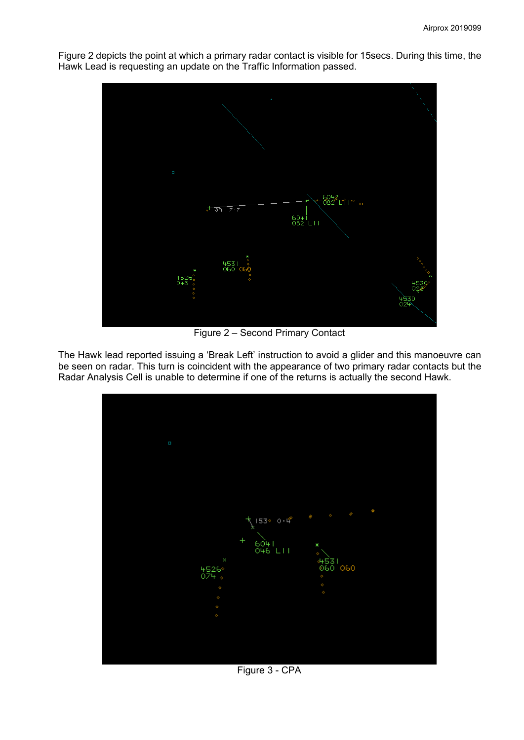

Figure 2 depicts the point at which a primary radar contact is visible for 15secs. During this time, the Hawk Lead is requesting an update on the Traffic Information passed.

Figure 2 – Second Primary Contact

The Hawk lead reported issuing a 'Break Left' instruction to avoid a glider and this manoeuvre can be seen on radar. This turn is coincident with the appearance of two primary radar contacts but the Radar Analysis Cell is unable to determine if one of the returns is actually the second Hawk.



Figure 3 - CPA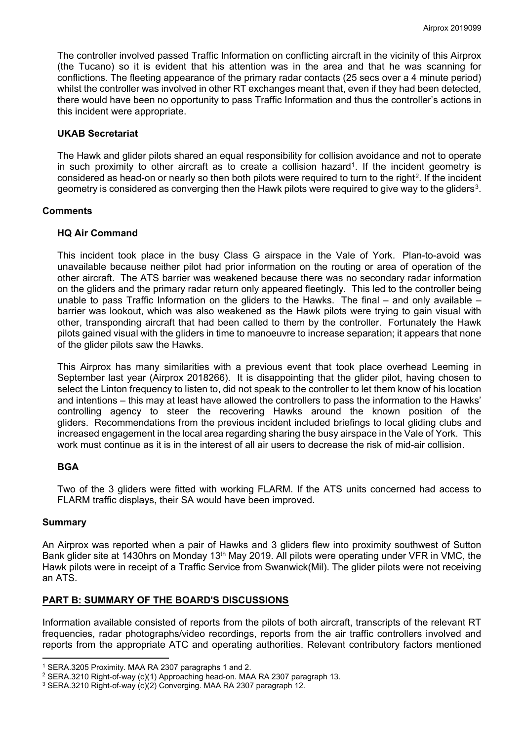The controller involved passed Traffic Information on conflicting aircraft in the vicinity of this Airprox (the Tucano) so it is evident that his attention was in the area and that he was scanning for conflictions. The fleeting appearance of the primary radar contacts (25 secs over a 4 minute period) whilst the controller was involved in other RT exchanges meant that, even if they had been detected, there would have been no opportunity to pass Traffic Information and thus the controller's actions in this incident were appropriate.

## **UKAB Secretariat**

The Hawk and glider pilots shared an equal responsibility for collision avoidance and not to operate in such proximity to other aircraft as to create a collision hazard<sup>1</sup>. If the incident geometry is considered as head-on or nearly so then both pilots were required to turn to the right<sup>[2](#page-4-1)</sup>. If the incident geometry is considered as converging then the Hawk pilots were required to give way to the gliders<sup>3</sup>.

## **Comments**

## **HQ Air Command**

This incident took place in the busy Class G airspace in the Vale of York. Plan-to-avoid was unavailable because neither pilot had prior information on the routing or area of operation of the other aircraft. The ATS barrier was weakened because there was no secondary radar information on the gliders and the primary radar return only appeared fleetingly. This led to the controller being unable to pass Traffic Information on the gliders to the Hawks. The final  $-$  and only available  $$ barrier was lookout, which was also weakened as the Hawk pilots were trying to gain visual with other, transponding aircraft that had been called to them by the controller. Fortunately the Hawk pilots gained visual with the gliders in time to manoeuvre to increase separation; it appears that none of the glider pilots saw the Hawks.

This Airprox has many similarities with a previous event that took place overhead Leeming in September last year (Airprox 2018266). It is disappointing that the glider pilot, having chosen to select the Linton frequency to listen to, did not speak to the controller to let them know of his location and intentions – this may at least have allowed the controllers to pass the information to the Hawks' controlling agency to steer the recovering Hawks around the known position of the gliders. Recommendations from the previous incident included briefings to local gliding clubs and increased engagement in the local area regarding sharing the busy airspace in the Vale of York. This work must continue as it is in the interest of all air users to decrease the risk of mid-air collision.

# **BGA**

Two of the 3 gliders were fitted with working FLARM. If the ATS units concerned had access to FLARM traffic displays, their SA would have been improved.

#### **Summary**

l

An Airprox was reported when a pair of Hawks and 3 gliders flew into proximity southwest of Sutton Bank glider site at 1430hrs on Monday 13th May 2019. All pilots were operating under VFR in VMC, the Hawk pilots were in receipt of a Traffic Service from Swanwick(Mil). The glider pilots were not receiving an ATS.

#### **PART B: SUMMARY OF THE BOARD'S DISCUSSIONS**

Information available consisted of reports from the pilots of both aircraft, transcripts of the relevant RT frequencies, radar photographs/video recordings, reports from the air traffic controllers involved and reports from the appropriate ATC and operating authorities. Relevant contributory factors mentioned

<span id="page-4-0"></span><sup>1</sup> SERA.3205 Proximity. MAA RA 2307 paragraphs 1 and 2.

<span id="page-4-1"></span><sup>2</sup> SERA.3210 Right-of-way (c)(1) Approaching head-on. MAA RA 2307 paragraph 13.

<span id="page-4-2"></span><sup>3</sup> SERA.3210 Right-of-way (c)(2) Converging. MAA RA 2307 paragraph 12.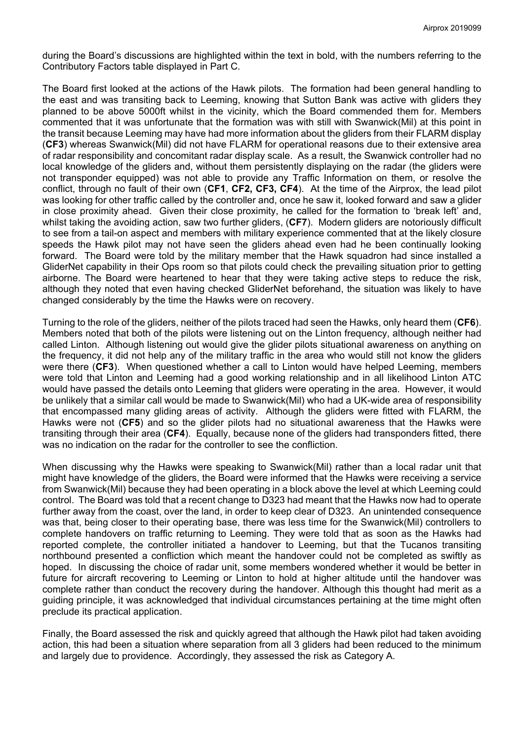during the Board's discussions are highlighted within the text in bold, with the numbers referring to the Contributory Factors table displayed in Part C.

The Board first looked at the actions of the Hawk pilots. The formation had been general handling to the east and was transiting back to Leeming, knowing that Sutton Bank was active with gliders they planned to be above 5000ft whilst in the vicinity, which the Board commended them for. Members commented that it was unfortunate that the formation was with still with Swanwick(Mil) at this point in the transit because Leeming may have had more information about the gliders from their FLARM display (**CF3**) whereas Swanwick(Mil) did not have FLARM for operational reasons due to their extensive area of radar responsibility and concomitant radar display scale. As a result, the Swanwick controller had no local knowledge of the gliders and, without them persistently displaying on the radar (the gliders were not transponder equipped) was not able to provide any Traffic Information on them, or resolve the conflict, through no fault of their own (**CF1**, **CF2, CF3, CF4**). At the time of the Airprox, the lead pilot was looking for other traffic called by the controller and, once he saw it, looked forward and saw a glider in close proximity ahead. Given their close proximity, he called for the formation to 'break left' and, whilst taking the avoiding action, saw two further gliders, (**CF7**). Modern gliders are notoriously difficult to see from a tail-on aspect and members with military experience commented that at the likely closure speeds the Hawk pilot may not have seen the gliders ahead even had he been continually looking forward. The Board were told by the military member that the Hawk squadron had since installed a GliderNet capability in their Ops room so that pilots could check the prevailing situation prior to getting airborne. The Board were heartened to hear that they were taking active steps to reduce the risk, although they noted that even having checked GliderNet beforehand, the situation was likely to have changed considerably by the time the Hawks were on recovery.

Turning to the role of the gliders, neither of the pilots traced had seen the Hawks, only heard them (**CF6**). Members noted that both of the pilots were listening out on the Linton frequency, although neither had called Linton. Although listening out would give the glider pilots situational awareness on anything on the frequency, it did not help any of the military traffic in the area who would still not know the gliders were there (**CF3**). When questioned whether a call to Linton would have helped Leeming, members were told that Linton and Leeming had a good working relationship and in all likelihood Linton ATC would have passed the details onto Leeming that gliders were operating in the area. However, it would be unlikely that a similar call would be made to Swanwick(Mil) who had a UK-wide area of responsibility that encompassed many gliding areas of activity. Although the gliders were fitted with FLARM, the Hawks were not (**CF5**) and so the glider pilots had no situational awareness that the Hawks were transiting through their area (**CF4**). Equally, because none of the gliders had transponders fitted, there was no indication on the radar for the controller to see the confliction.

When discussing why the Hawks were speaking to Swanwick(Mil) rather than a local radar unit that might have knowledge of the gliders, the Board were informed that the Hawks were receiving a service from Swanwick(Mil) because they had been operating in a block above the level at which Leeming could control. The Board was told that a recent change to D323 had meant that the Hawks now had to operate further away from the coast, over the land, in order to keep clear of D323. An unintended consequence was that, being closer to their operating base, there was less time for the Swanwick(Mil) controllers to complete handovers on traffic returning to Leeming. They were told that as soon as the Hawks had reported complete, the controller initiated a handover to Leeming, but that the Tucanos transiting northbound presented a confliction which meant the handover could not be completed as swiftly as hoped. In discussing the choice of radar unit, some members wondered whether it would be better in future for aircraft recovering to Leeming or Linton to hold at higher altitude until the handover was complete rather than conduct the recovery during the handover. Although this thought had merit as a guiding principle, it was acknowledged that individual circumstances pertaining at the time might often preclude its practical application.

Finally, the Board assessed the risk and quickly agreed that although the Hawk pilot had taken avoiding action, this had been a situation where separation from all 3 gliders had been reduced to the minimum and largely due to providence. Accordingly, they assessed the risk as Category A.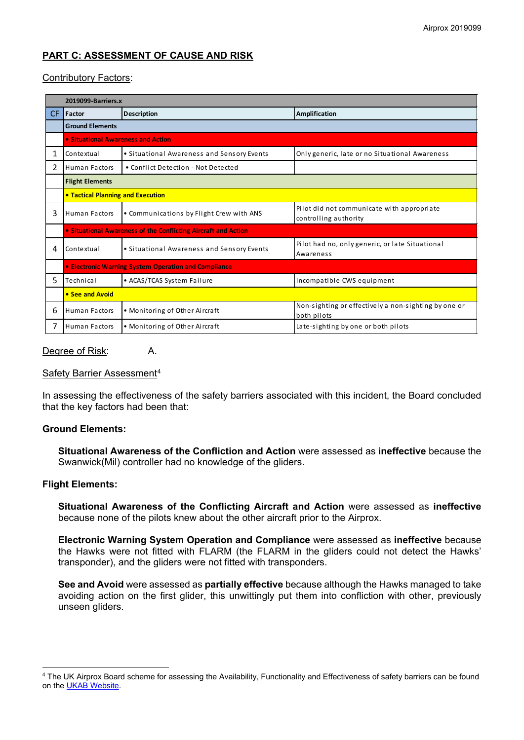# **PART C: ASSESSMENT OF CAUSE AND RISK**

## Contributory Factors:

| 2019099-Barriers.x |                                                                |                                            |                                                                     |
|--------------------|----------------------------------------------------------------|--------------------------------------------|---------------------------------------------------------------------|
| CF.                | <b>IFactor</b>                                                 | <b>Description</b>                         | <b>Amplification</b>                                                |
|                    | <b>Ground Elements</b>                                         |                                            |                                                                     |
|                    | • Situational Awareness and Action                             |                                            |                                                                     |
| 1                  | Contextual                                                     | • Situational Awareness and Sensory Events | Only generic, late or no Situational Awareness                      |
| $\overline{2}$     | <b>Human Factors</b>                                           | • Conflict Detection - Not Detected        |                                                                     |
|                    | <b>Flight Elements</b>                                         |                                            |                                                                     |
|                    | • Tactical Planning and Execution                              |                                            |                                                                     |
| 3                  | Human Factors                                                  | • Communications by Flight Crew with ANS   | Pilot did not communicate with appropriate<br>controlling authority |
|                    | • Situational Awareness of the Conflicting Aircraft and Action |                                            |                                                                     |
| 4                  | Contextual                                                     | • Situational Awareness and Sensory Events | Pilot had no, only generic, or late Situational<br>Awareness        |
|                    | <b>• Electronic Warning System Operation and Compliance</b>    |                                            |                                                                     |
| 5.                 | Technical                                                      | • ACAS/TCAS System Failure                 | Incompatible CWS equipment                                          |
|                    | • See and Avoid                                                |                                            |                                                                     |
| 6                  | <b>Human Factors</b>                                           | • Monitoring of Other Aircraft             | Non-sighting or effectively a non-sighting by one or<br>both pilots |
| 7                  | Human Factors                                                  | • Monitoring of Other Aircraft             | Late-sighting by one or both pilots                                 |

#### Degree of Risk: A.

#### Safety Barrier Assessment<sup>[4](#page-6-0)</sup>

In assessing the effectiveness of the safety barriers associated with this incident, the Board concluded that the key factors had been that:

#### **Ground Elements:**

**Situational Awareness of the Confliction and Action** were assessed as **ineffective** because the Swanwick(Mil) controller had no knowledge of the gliders.

#### **Flight Elements:**

 $\overline{\phantom{a}}$ 

**Situational Awareness of the Conflicting Aircraft and Action** were assessed as **ineffective** because none of the pilots knew about the other aircraft prior to the Airprox.

**Electronic Warning System Operation and Compliance** were assessed as **ineffective** because the Hawks were not fitted with FLARM (the FLARM in the gliders could not detect the Hawks' transponder), and the gliders were not fitted with transponders.

**See and Avoid** were assessed as **partially effective** because although the Hawks managed to take avoiding action on the first glider, this unwittingly put them into confliction with other, previously unseen gliders.

<span id="page-6-0"></span><sup>4</sup> The UK Airprox Board scheme for assessing the Availability, Functionality and Effectiveness of safety barriers can be found on th[e UKAB Website.](http://www.airproxboard.org.uk/Learn-more/Airprox-Barrier-Assessment/)